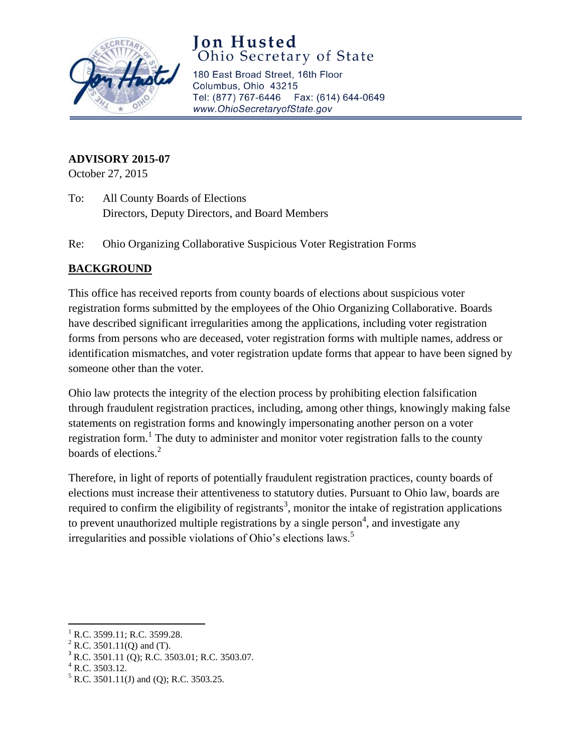

## **Jon Husted**<br>Ohio Secretary of State

180 East Broad Street, 16th Floor Columbus, Ohio 43215 Tel: (877) 767-6446 Fax: (614) 644-0649 www.OhioSecretaryofState.gov

## **ADVISORY 2015-07**

October 27, 2015

- To: All County Boards of Elections Directors, Deputy Directors, and Board Members
- Re: Ohio Organizing Collaborative Suspicious Voter Registration Forms

## **BACKGROUND**

This office has received reports from county boards of elections about suspicious voter registration forms submitted by the employees of the Ohio Organizing Collaborative. Boards have described significant irregularities among the applications, including voter registration forms from persons who are deceased, voter registration forms with multiple names, address or identification mismatches, and voter registration update forms that appear to have been signed by someone other than the voter.

Ohio law protects the integrity of the election process by prohibiting election falsification through fraudulent registration practices, including, among other things, knowingly making false statements on registration forms and knowingly impersonating another person on a voter registration form.<sup>1</sup> The duty to administer and monitor voter registration falls to the county boards of elections.<sup>2</sup>

Therefore, in light of reports of potentially fraudulent registration practices, county boards of elections must increase their attentiveness to statutory duties. Pursuant to Ohio law, boards are required to confirm the eligibility of registrants<sup>3</sup>, monitor the intake of registration applications to prevent unauthorized multiple registrations by a single person<sup>4</sup>, and investigate any irregularities and possible violations of Ohio's elections laws.<sup>5</sup>

 $\overline{a}$ 

R.C. 3599.11; R.C. 3599.28.

 $2$  R.C. 3501.11(Q) and (T).

 $3$  R.C. 3501.11 (Q); R.C. 3503.01; R.C. 3503.07.

 $^{4}$  R.C. 3503.12.

 $<sup>5</sup>$  R.C. 3501.11(J) and (Q); R.C. 3503.25.</sup>